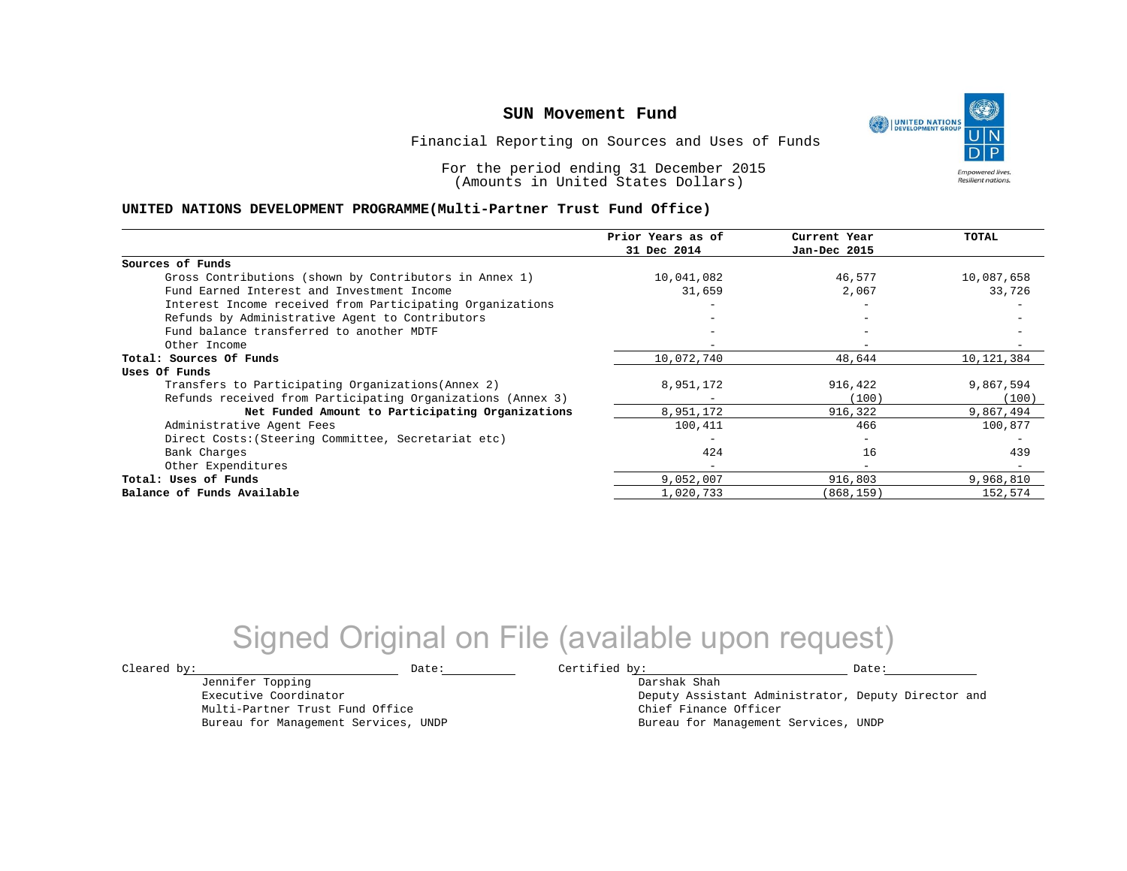UNITED NATIONS **Empowered lives Resilient nations.** 

Financial Reporting on Sources and Uses of Funds

For the period ending 31 December 2015 (Amounts in United States Dollars)

### **UNITED NATIONS DEVELOPMENT PROGRAMME(Multi-Partner Trust Fund Office)**

|                                                             | Prior Years as of | Current Year             | TOTAL      |
|-------------------------------------------------------------|-------------------|--------------------------|------------|
|                                                             | 31 Dec 2014       | Jan-Dec 2015             |            |
| Sources of Funds                                            |                   |                          |            |
| Gross Contributions (shown by Contributors in Annex 1)      | 10,041,082        | 46,577                   | 10,087,658 |
| Fund Earned Interest and Investment Income                  | 31,659            | 2,067                    | 33,726     |
| Interest Income received from Participating Organizations   |                   |                          |            |
| Refunds by Administrative Agent to Contributors             |                   | $\overline{\phantom{m}}$ |            |
| Fund balance transferred to another MDTF                    |                   |                          |            |
| Other Income                                                |                   |                          |            |
| Total: Sources Of Funds                                     | 10,072,740        | 48,644                   | 10,121,384 |
| Uses Of Funds                                               |                   |                          |            |
| Transfers to Participating Organizations (Annex 2)          | 8,951,172         | 916,422                  | 9,867,594  |
| Refunds received from Participating Organizations (Annex 3) |                   | (100)                    | (100)      |
| Net Funded Amount to Participating Organizations            | 8,951,172         | 916,322                  | 9,867,494  |
| Administrative Agent Fees                                   | 100,411           | 466                      | 100,877    |
| Direct Costs: (Steering Committee, Secretariat etc)         |                   | $\qquad \qquad -$        |            |
| Bank Charges                                                | 424               | 16                       | 439        |
| Other Expenditures                                          | $-$               | $\overline{\phantom{m}}$ |            |
| Total: Uses of Funds                                        | 9,052,007         | 916,803                  | 9,968,810  |
| Balance of Funds Available                                  | 1,020,733         | (868,159)                | 152,574    |

## Signed Original on File (available upon request)

Jennifer Topping Executive Coordinator Multi-Partner Trust Fund Office Bureau for Management Services, UNDP

 $\texttt{Cleared by:}\footnotesize \begin{minipage}{0.9\linewidth} \texttt{Date:}\footnotesize \begin{minipage}{0.9\linewidth} \texttt{Date:}\footnotesize \begin{minipage}{0.9\linewidth} \end{minipage} \end{minipage}$ 

Darshak Shah Deputy Assistant Administrator, Deputy Director and Chief Finance Officer Bureau for Management Services, UNDP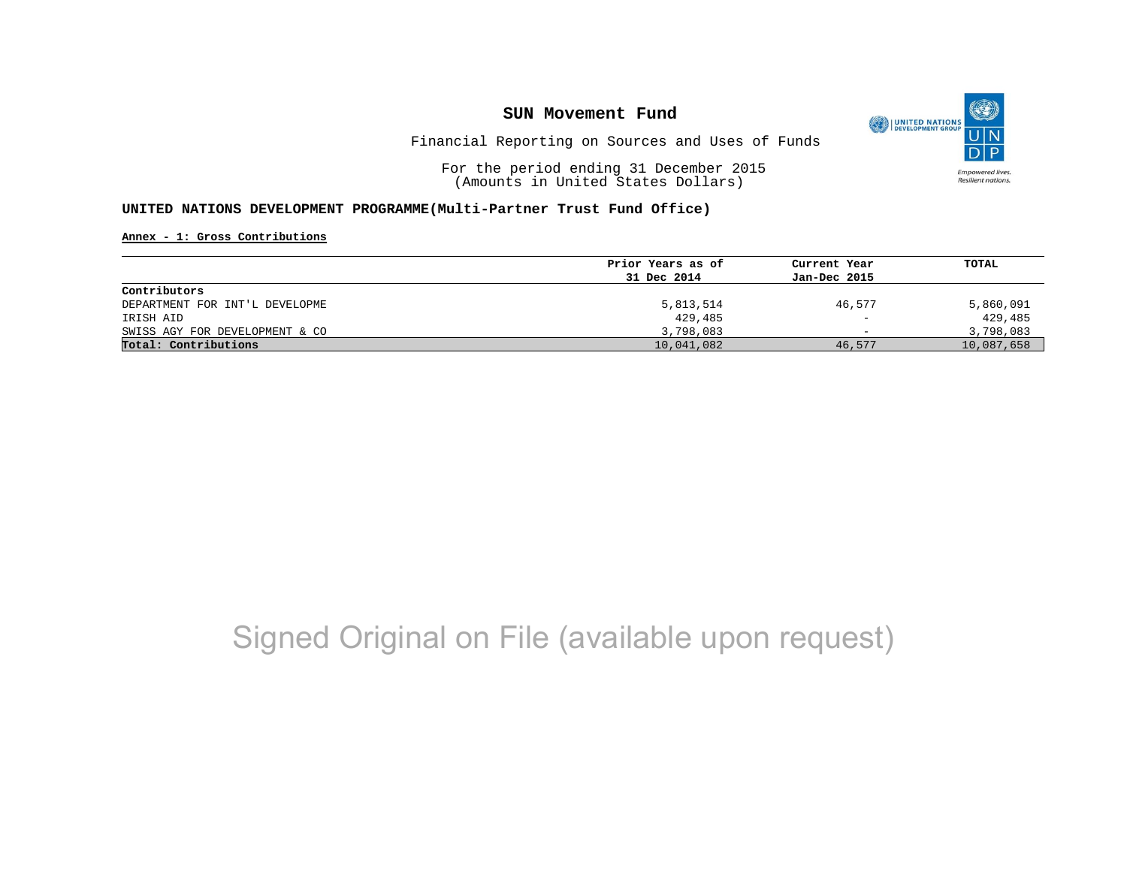

Financial Reporting on Sources and Uses of Funds

For the period ending 31 December 2015 (Amounts in United States Dollars)

### **UNITED NATIONS DEVELOPMENT PROGRAMME(Multi-Partner Trust Fund Office)**

**Annex - 1: Gross Contributions**

|                                | Prior Years as of | Current Year             | TOTAL      |
|--------------------------------|-------------------|--------------------------|------------|
|                                | 31 Dec 2014       | Jan-Dec 2015             |            |
| Contributors                   |                   |                          |            |
| DEPARTMENT FOR INT'L DEVELOPME | 5,813,514         | 46.577                   | 5,860,091  |
| IRISH AID                      | 429,485           | $\overline{\phantom{m}}$ | 429,485    |
| SWISS AGY FOR DEVELOPMENT & CO | 3,798,083         | $\overline{\phantom{0}}$ | 3,798,083  |
| Total: Contributions           | 10,041,082        | 46,577                   | 10,087,658 |

# Signed Original on File (available upon request)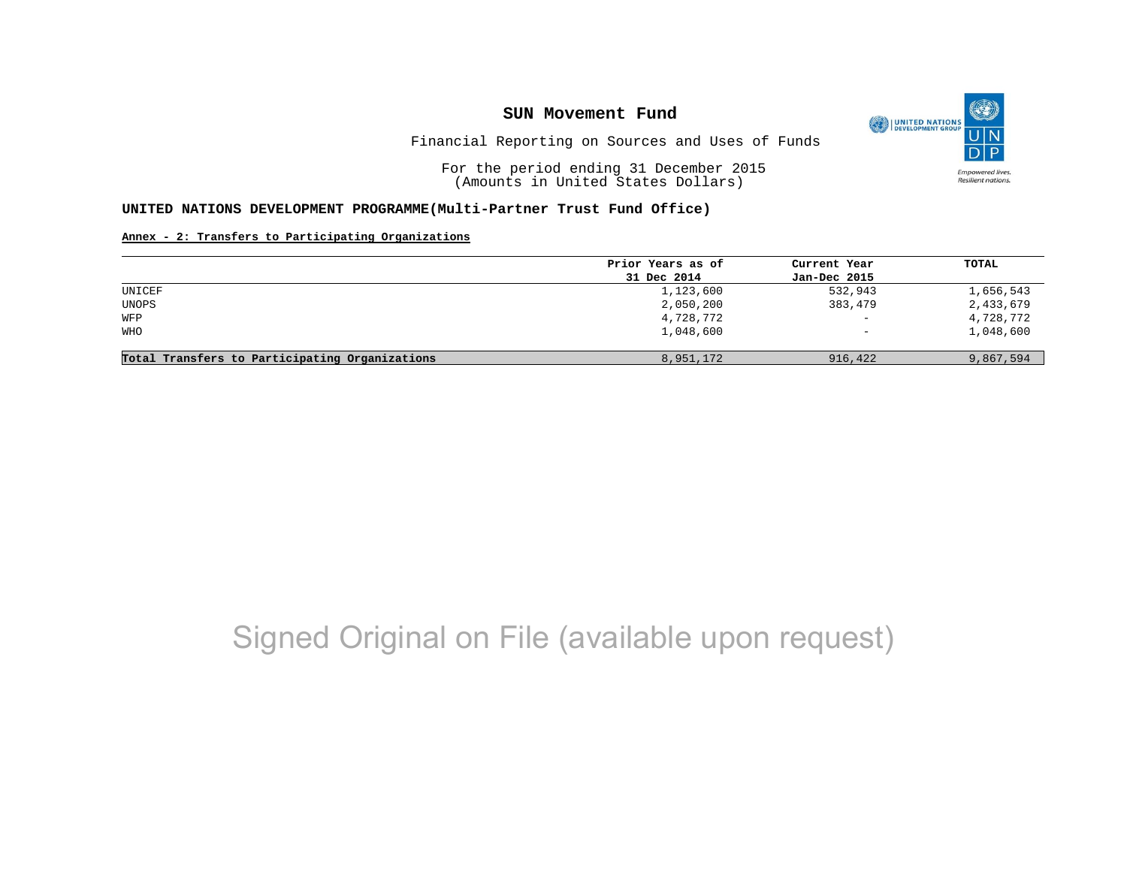

Financial Reporting on Sources and Uses of Funds

For the period ending 31 December 2015 (Amounts in United States Dollars)

#### **UNITED NATIONS DEVELOPMENT PROGRAMME(Multi-Partner Trust Fund Office)**

### **Annex - 2: Transfers to Participating Organizations**

|                                                | Prior Years as of | Current Year             | TOTAL     |
|------------------------------------------------|-------------------|--------------------------|-----------|
|                                                | 31 Dec 2014       | Jan-Dec 2015             |           |
| UNICEF                                         | 1,123,600         | 532,943                  | 1,656,543 |
| UNOPS                                          | 2,050,200         | 383,479                  | 2,433,679 |
| WFP                                            | 4,728,772         | $\overline{\phantom{a}}$ | 4,728,772 |
| <b>WHO</b>                                     | 1,048,600         | $\qquad \qquad -$        | 1,048,600 |
| Total Transfers to Participating Organizations | 8,951,172         | 916,422                  | 9,867,594 |

# Signed Original on File (available upon request)